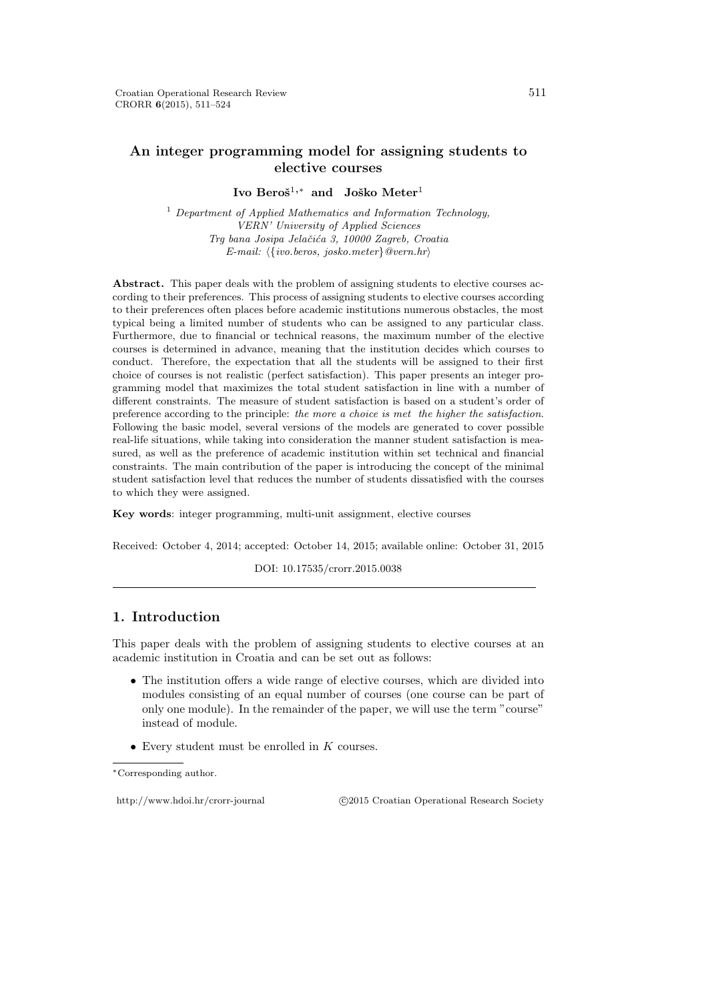# **An integer programming model for assigning students to elective courses**

# **Ivo Beroš**<sup>1, $*$ </sup> and **Joško** Meter<sup>1</sup>

<sup>1</sup> *Department of Applied Mathematics and Information Technology, VERN' University of Applied Sciences Trg bana Josipa Jelaˇci´ca 3, 10000 Zagreb, Croatia E-mail: ⟨{ivo.beros, josko.meter}@vern.hr⟩*

Abstract. This paper deals with the problem of assigning students to elective courses according to their preferences. This process of assigning students to elective courses according to their preferences often places before academic institutions numerous obstacles, the most typical being a limited number of students who can be assigned to any particular class. Furthermore, due to financial or technical reasons, the maximum number of the elective courses is determined in advance, meaning that the institution decides which courses to conduct. Therefore, the expectation that all the students will be assigned to their first choice of courses is not realistic (perfect satisfaction). This paper presents an integer programming model that maximizes the total student satisfaction in line with a number of different constraints. The measure of student satisfaction is based on a student's order of preference according to the principle: *the more a choice is met the higher the satisfaction*. Following the basic model, several versions of the models are generated to cover possible real-life situations, while taking into consideration the manner student satisfaction is measured, as well as the preference of academic institution within set technical and financial constraints. The main contribution of the paper is introducing the concept of the minimal student satisfaction level that reduces the number of students dissatisfied with the courses to which they were assigned.

**Key words**: integer programming, multi-unit assignment, elective courses

Received: October 4, 2014; accepted: October 14, 2015; available online: October 31, 2015

DOI: 10.17535/crorr.2015.0038

# **1. Introduction**

This paper deals with the problem of assigning students to elective courses at an academic institution in Croatia and can be set out as follows:

- The institution offers a wide range of elective courses, which are divided into modules consisting of an equal number of courses (one course can be part of only one module). In the remainder of the paper, we will use the term "course" instead of module.
- *•* Every student must be enrolled in *K* courses.

http://www.hdoi.hr/crorr-journal *©*2015 Croatian Operational Research Society

*<sup>∗</sup>*Corresponding author.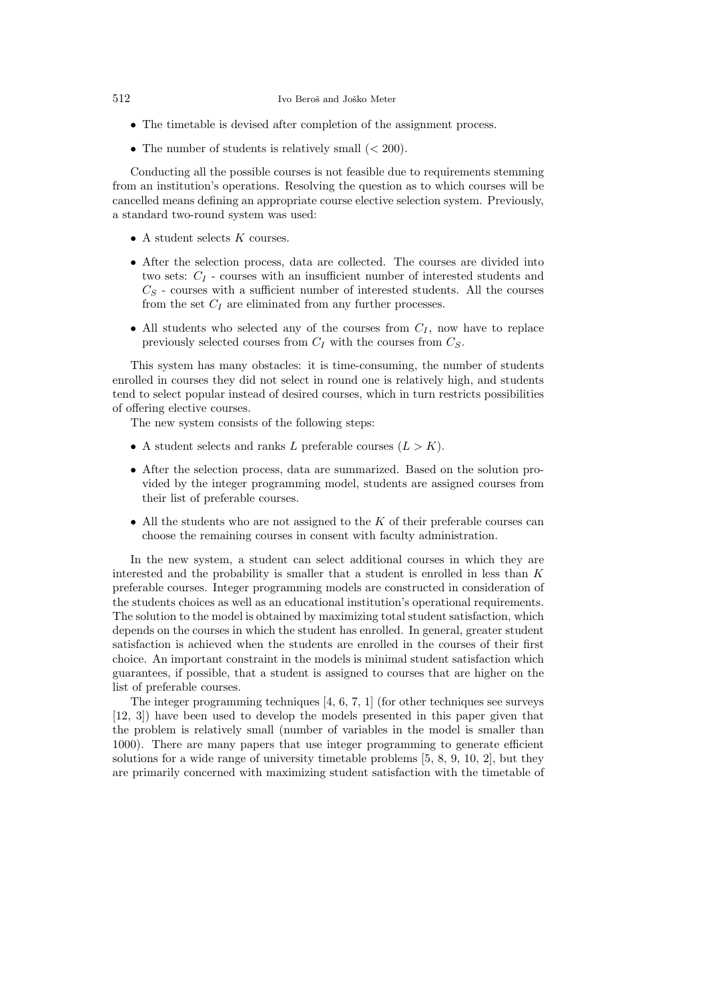### 512 Ivo Beroš and Joško Meter

- The timetable is devised after completion of the assignment process.
- *•* The number of students is relatively small (*<* 200).

Conducting all the possible courses is not feasible due to requirements stemming from an institution's operations. Resolving the question as to which courses will be cancelled means defining an appropriate course elective selection system. Previously, a standard two-round system was used:

- *•* A student selects *K* courses.
- After the selection process, data are collected. The courses are divided into two sets: *C<sup>I</sup>* - courses with an insufficient number of interested students and  $C_S$  - courses with a sufficient number of interested students. All the courses from the set  $C_I$  are eliminated from any further processes.
- All students who selected any of the courses from  $C_I$ , now have to replace previously selected courses from  $C_I$  with the courses from  $C_S$ .

This system has many obstacles: it is time-consuming, the number of students enrolled in courses they did not select in round one is relatively high, and students tend to select popular instead of desired courses, which in turn restricts possibilities of offering elective courses.

The new system consists of the following steps:

- *•* A student selects and ranks *L* preferable courses (*L > K*).
- After the selection process, data are summarized. Based on the solution provided by the integer programming model, students are assigned courses from their list of preferable courses.
- *•* All the students who are not assigned to the *K* of their preferable courses can choose the remaining courses in consent with faculty administration.

In the new system, a student can select additional courses in which they are interested and the probability is smaller that a student is enrolled in less than *K* preferable courses. Integer programming models are constructed in consideration of the students choices as well as an educational institution's operational requirements. The solution to the model is obtained by maximizing total student satisfaction, which depends on the courses in which the student has enrolled. In general, greater student satisfaction is achieved when the students are enrolled in the courses of their first choice. An important constraint in the models is minimal student satisfaction which guarantees, if possible, that a student is assigned to courses that are higher on the list of preferable courses.

The integer programming techniques  $[4, 6, 7, 1]$  (for other techniques see surveys [12, 3]) have been used to develop the models presented in this paper given that the problem is relatively small (number of variables in the model is smaller than 1000). There are many papers that use integer programming to generate efficient solutions for a wide range of university timetable problems [5, 8, 9, 10, 2], but they are primarily concerned with maximizing student satisfaction with the timetable of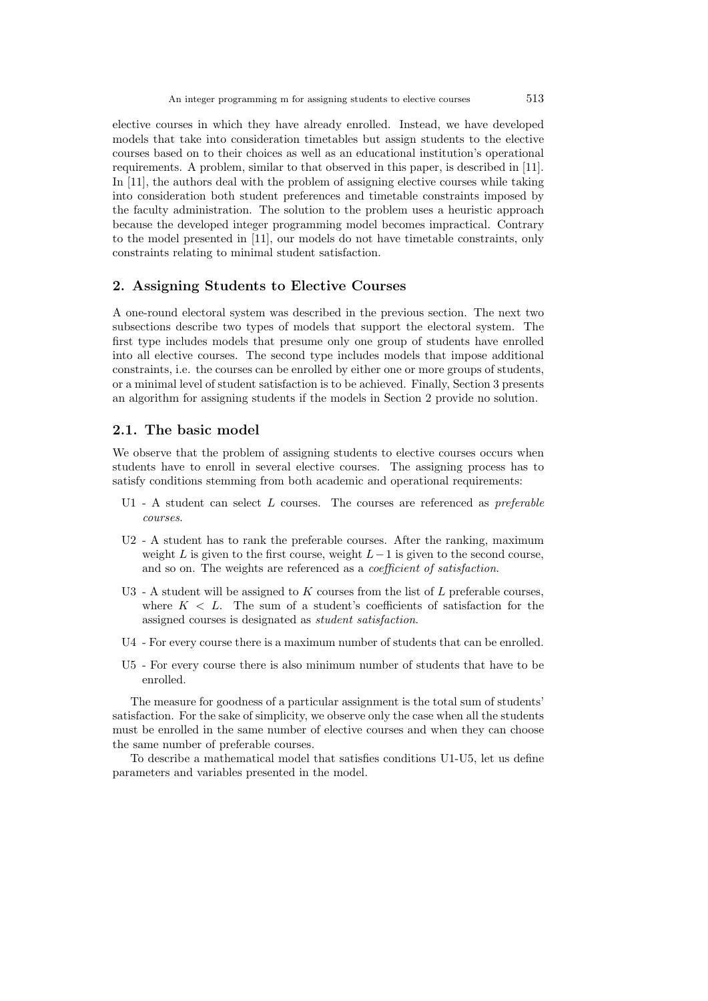elective courses in which they have already enrolled. Instead, we have developed models that take into consideration timetables but assign students to the elective courses based on to their choices as well as an educational institution's operational requirements. A problem, similar to that observed in this paper, is described in [11]. In [11], the authors deal with the problem of assigning elective courses while taking into consideration both student preferences and timetable constraints imposed by the faculty administration. The solution to the problem uses a heuristic approach because the developed integer programming model becomes impractical. Contrary to the model presented in [11], our models do not have timetable constraints, only constraints relating to minimal student satisfaction.

## **2. Assigning Students to Elective Courses**

A one-round electoral system was described in the previous section. The next two subsections describe two types of models that support the electoral system. The first type includes models that presume only one group of students have enrolled into all elective courses. The second type includes models that impose additional constraints, i.e. the courses can be enrolled by either one or more groups of students, or a minimal level of student satisfaction is to be achieved. Finally, Section 3 presents an algorithm for assigning students if the models in Section 2 provide no solution.

## **2.1. The basic model**

We observe that the problem of assigning students to elective courses occurs when students have to enroll in several elective courses. The assigning process has to satisfy conditions stemming from both academic and operational requirements:

- U1 A student can select *L* courses. The courses are referenced as *preferable courses*.
- U2 A student has to rank the preferable courses. After the ranking, maximum weight *L* is given to the first course, weight *L−*1 is given to the second course, and so on. The weights are referenced as a *coefficient of satisfaction*.
- U3 A student will be assigned to *K* courses from the list of *L* preferable courses, where  $K < L$ . The sum of a student's coefficients of satisfaction for the assigned courses is designated as *student satisfaction*.
- U4 For every course there is a maximum number of students that can be enrolled.
- U5 For every course there is also minimum number of students that have to be enrolled.

The measure for goodness of a particular assignment is the total sum of students' satisfaction. For the sake of simplicity, we observe only the case when all the students must be enrolled in the same number of elective courses and when they can choose the same number of preferable courses.

To describe a mathematical model that satisfies conditions U1-U5, let us define parameters and variables presented in the model.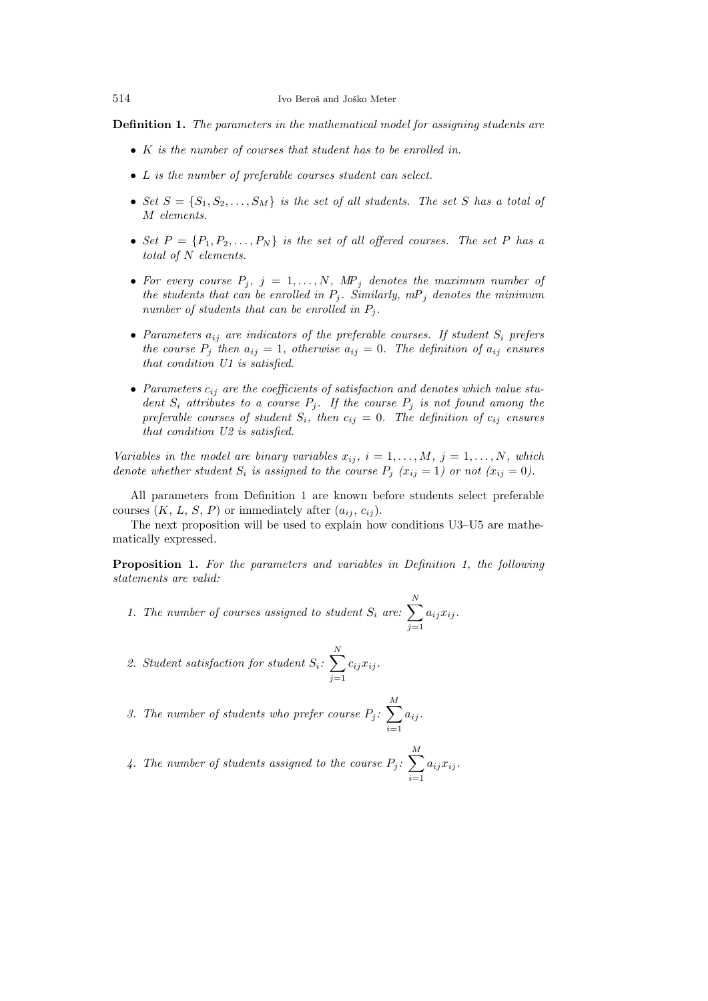**Definition 1.** *The parameters in the mathematical model for assigning students are*

- *• K is the number of courses that student has to be enrolled in.*
- *• L is the number of preferable courses student can select.*
- *Set*  $S = \{S_1, S_2, \ldots, S_M\}$  *is the set of all students. The set S has a total of M elements.*
- *Set*  $P = \{P_1, P_2, \ldots, P_N\}$  *is the set of all offered courses. The set P has a total of N elements.*
- For every course  $P_j$ ,  $j = 1, ..., N$ ,  $MP_j$  denotes the maximum number of *the students that can be enrolled in*  $P_i$ *. Similarly, mP<sub>i</sub> denotes the minimum number of students that can be enrolled in*  $P_i$ .
- *• Parameters aij are indicators of the preferable courses. If student S<sup>i</sup> prefers the course*  $P_j$  *then*  $a_{ij} = 1$ *, otherwise*  $a_{ij} = 0$ *. The definition of*  $a_{ij}$  *ensures that condition U1 is satisfied.*
- Parameters  $c_{ij}$  are the coefficients of satisfaction and denotes which value stu*dent*  $S_i$  *attributes to a course*  $P_j$ *. If the course*  $P_j$  *is not found among the preferable courses of student*  $S_i$ *, then*  $c_{ij} = 0$ *. The definition of*  $c_{ij}$  *ensures that condition U2 is satisfied.*

*Variables in the model are binary variables*  $x_{ij}$ ,  $i = 1, \ldots, M$ ,  $j = 1, \ldots, N$ , which *denote whether student*  $S_i$  *is assigned to the course*  $P_j$   $(x_{ij} = 1)$  *or not*  $(x_{ij} = 0)$ .

All parameters from Definition 1 are known before students select preferable courses  $(K, L, S, P)$  or immediately after  $(a_{ij}, c_{ij})$ .

The next proposition will be used to explain how conditions U3–U5 are mathematically expressed.

**Proposition 1.** *For the parameters and variables in Definition 1, the following statements are valid:*

- *1. The number of courses assigned to student*  $S_i$  *are:*  $\sum_{n=1}^{N}$ *j*=1  $a_{ij}x_{ij}$ .
- 2. *Student satisfaction for student*  $S_i$ :  $\sum_{i=1}^{N}$ *j*=1  $c_{ij}x_{ij}$ .
- *3. The number of students who prefer course*  $P_j$ :  $\sum_{i=1}^{M}$ *i*=1  $a_{ij}$ .
- *4. The number of students assigned to the course*  $P_j$ :  $\sum_{i=1}^{M}$ *i*=1  $a_{ij}x_{ij}$ .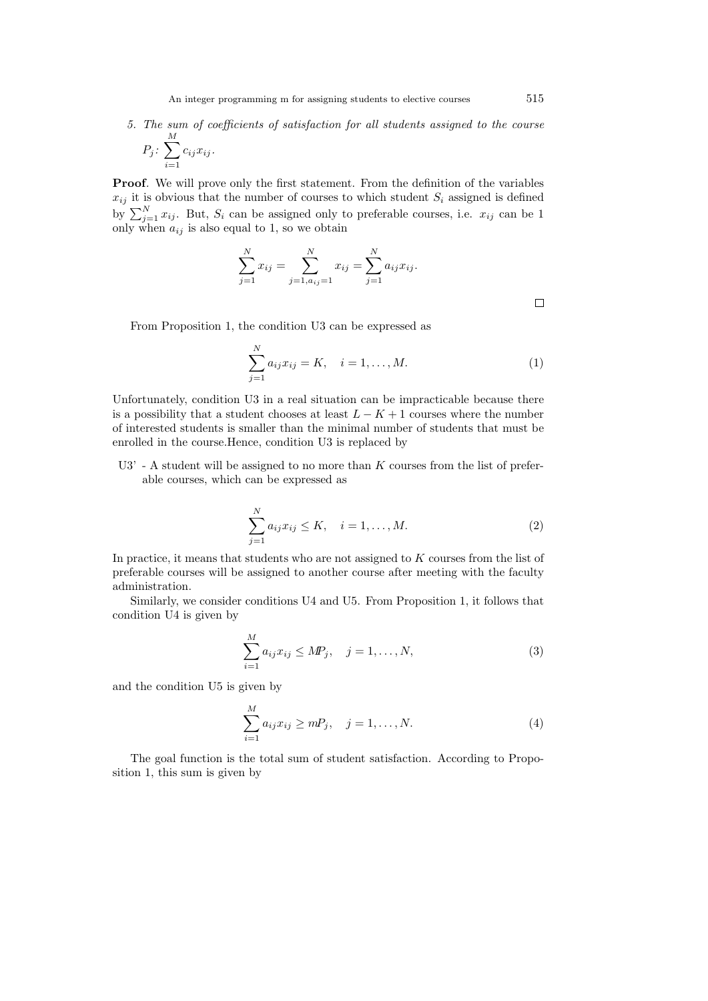*5. The sum of coefficients of satisfaction for all students assigned to the course* ∑ *M*

$$
P_j \colon \sum_{i=1} c_{ij} x_{ij}.
$$

**Proof***.* We will prove only the first statement. From the definition of the variables  $x_{ij}$  it is obvious that the number of courses to which student  $S_i$  assigned is defined by  $\sum_{j=1}^{N} x_{ij}$ . But,  $S_i$  can be assigned only to preferable courses, i.e.  $x_{ij}$  can be 1 only when  $a_{ij}$  is also equal to 1, so we obtain

$$
\sum_{j=1}^{N} x_{ij} = \sum_{j=1, a_{ij}=1}^{N} x_{ij} = \sum_{j=1}^{N} a_{ij} x_{ij}.
$$

From Proposition 1, the condition U3 can be expressed as

$$
\sum_{j=1}^{N} a_{ij} x_{ij} = K, \quad i = 1, ..., M.
$$
 (1)

Unfortunately, condition U3 in a real situation can be impracticable because there is a possibility that a student chooses at least  $L - K + 1$  courses where the number of interested students is smaller than the minimal number of students that must be enrolled in the course.Hence, condition U3 is replaced by

U3' - A student will be assigned to no more than *K* courses from the list of preferable courses, which can be expressed as

$$
\sum_{j=1}^{N} a_{ij} x_{ij} \le K, \quad i = 1, ..., M.
$$
 (2)

In practice, it means that students who are not assigned to *K* courses from the list of preferable courses will be assigned to another course after meeting with the faculty administration.

Similarly, we consider conditions U4 and U5. From Proposition 1, it follows that condition U4 is given by

$$
\sum_{i=1}^{M} a_{ij} x_{ij} \le M P_j, \quad j = 1, ..., N,
$$
\n(3)

and the condition U5 is given by

$$
\sum_{i=1}^{M} a_{ij} x_{ij} \ge mP_j, \quad j = 1, ..., N.
$$
 (4)

The goal function is the total sum of student satisfaction. According to Proposition 1, this sum is given by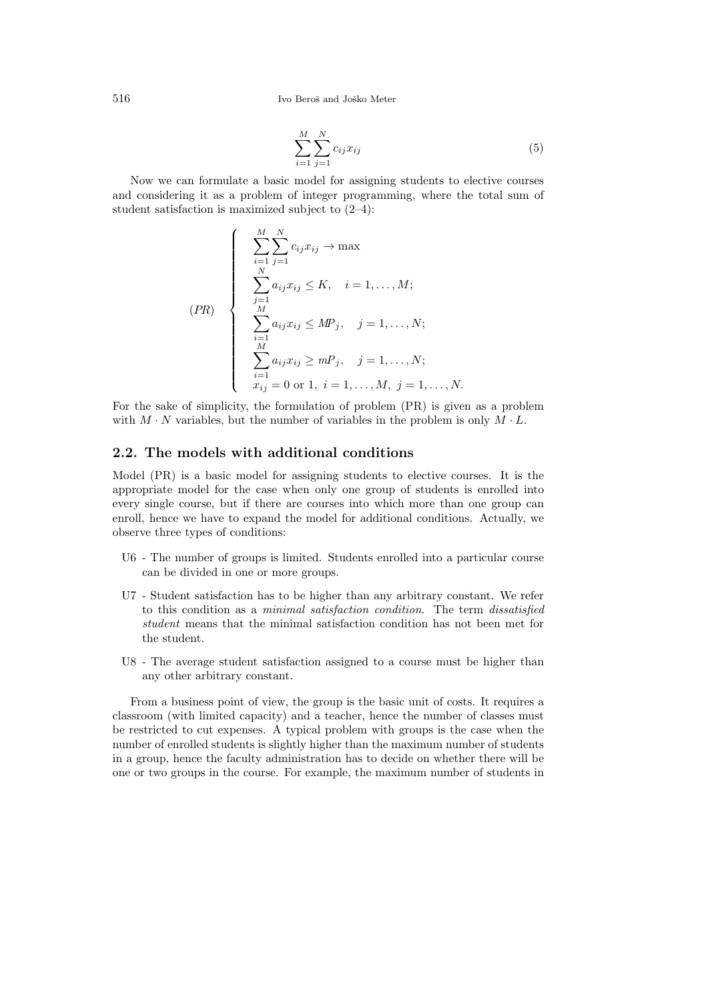516 Ivo Beroš and Joško Meter

$$
\sum_{i=1}^{M} \sum_{j=1}^{N} c_{ij} x_{ij}
$$
\n(5)

Now we can formulate a basic model for assigning students to elective courses and considering it as a problem of integer programming, where the total sum of student satisfaction is maximized subject to (2–4):

$$
(PR) \begin{cases} \sum_{i=1}^{M} \sum_{j=1}^{N} c_{ij} x_{ij} \to \max \\ \sum_{j=1}^{N} a_{ij} x_{ij} \leq K, \quad i = 1, ..., M; \\ \sum_{i=1}^{M} a_{ij} x_{ij} \leq M P_j, \quad j = 1, ..., N; \\ \sum_{i=1}^{M} a_{ij} x_{ij} \geq m P_j, \quad j = 1, ..., N; \\ x_{ij} = 0 \text{ or } 1, \ i = 1, ..., M, \ j = 1, ..., N. \end{cases}
$$

For the sake of simplicity, the formulation of problem (PR) is given as a problem with  $M \cdot N$  variables, but the number of variables in the problem is only  $M \cdot L$ .

## **2.2. The models with additional conditions**

Model (PR) is a basic model for assigning students to elective courses. It is the appropriate model for the case when only one group of students is enrolled into every single course, but if there are courses into which more than one group can enroll, hence we have to expand the model for additional conditions. Actually, we observe three types of conditions:

- U6 The number of groups is limited. Students enrolled into a particular course can be divided in one or more groups.
- U7 Student satisfaction has to be higher than any arbitrary constant. We refer to this condition as a *minimal satisfaction condition*. The term *dissatisfied student* means that the minimal satisfaction condition has not been met for the student.
- U8 The average student satisfaction assigned to a course must be higher than any other arbitrary constant.

From a business point of view, the group is the basic unit of costs. It requires a classroom (with limited capacity) and a teacher, hence the number of classes must be restricted to cut expenses. A typical problem with groups is the case when the number of enrolled students is slightly higher than the maximum number of students in a group, hence the faculty administration has to decide on whether there will be one or two groups in the course. For example, the maximum number of students in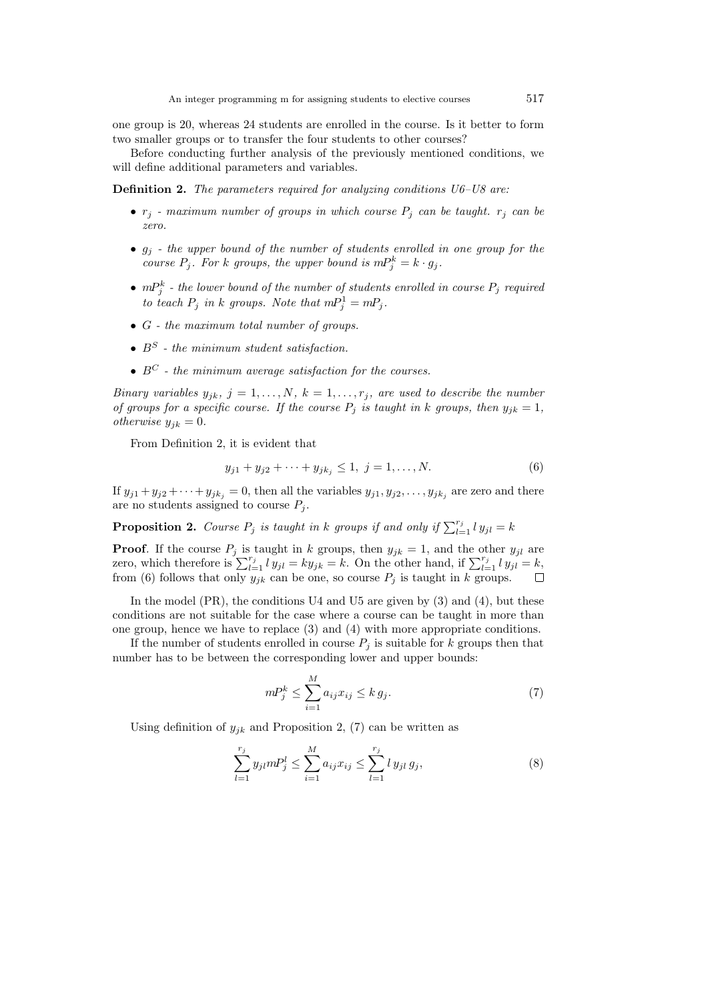one group is 20, whereas 24 students are enrolled in the course. Is it better to form two smaller groups or to transfer the four students to other courses?

Before conducting further analysis of the previously mentioned conditions, we will define additional parameters and variables.

**Definition 2.** *The parameters required for analyzing conditions U6–U8 are:*

- *• r<sup>j</sup> maximum number of groups in which course P<sup>j</sup> can be taught. r<sup>j</sup> can be zero.*
- $\bullet$   $g_j$   *the upper bound of the number of students enrolled in one group for the course*  $P_j$ *. For k* groups, the upper bound is  $mP_j^k = k \cdot g_j$ *.*
- $\bullet$   $mP_j^k$  the lower bound of the number of students enrolled in course  $P_j$  required *to teach*  $P_j$  *in k groups. Note that*  $mP_j^1 = mP_j$ .
- *• G the maximum total number of groups.*
- *• B<sup>S</sup> the minimum student satisfaction.*
- *• B<sup>C</sup> the minimum average satisfaction for the courses.*

*Binary variables*  $y_{jk}$ ,  $j = 1, \ldots, N$ ,  $k = 1, \ldots, r_j$ , are used to describe the number *of groups for a specific course. If the course*  $P_j$  *is taught in k groups, then*  $y_{jk} = 1$ *, otherwise*  $y_{jk} = 0$ *.* 

From Definition 2, it is evident that

$$
y_{j1} + y_{j2} + \dots + y_{jk_j} \le 1, \ j = 1, \dots, N. \tag{6}
$$

If  $y_{j1} + y_{j2} + \cdots + y_{jk} = 0$ , then all the variables  $y_{j1}, y_{j2}, \ldots, y_{jk}$  are zero and there are no students assigned to course  $P_j$ .

**Proposition 2.** *Course*  $P_j$  *is taught in k groups if and only if*  $\sum_{l=1}^{r_j} l y_{jl} = k$ 

**Proof***.* If the course  $P_j$  is taught in *k* groups, then  $y_{jk} = 1$ , and the other  $y_{jl}$  are zero, which therefore is  $\sum_{l=1}^{r_j} l y_{jl} = k y_{jk} = k$ . On the other hand, if  $\sum_{l=1}^{r_j} l y_{jl} = k$ , from (6) follows that only  $y_{jk}$  can be one, so course  $P_j$  is taught in *k* groups.

In the model  $(PR)$ , the conditions U4 and U5 are given by  $(3)$  and  $(4)$ , but these conditions are not suitable for the case where a course can be taught in more than one group, hence we have to replace (3) and (4) with more appropriate conditions.

If the number of students enrolled in course  $P_i$  is suitable for  $k$  groups then that number has to be between the corresponding lower and upper bounds:

$$
mP_j^k \le \sum_{i=1}^M a_{ij} x_{ij} \le k g_j. \tag{7}
$$

Using definition of  $y_{jk}$  and Proposition 2, (7) can be written as

$$
\sum_{l=1}^{r_j} y_{jl} m P_j^l \le \sum_{i=1}^M a_{ij} x_{ij} \le \sum_{l=1}^{r_j} l y_{jl} g_j,
$$
\n(8)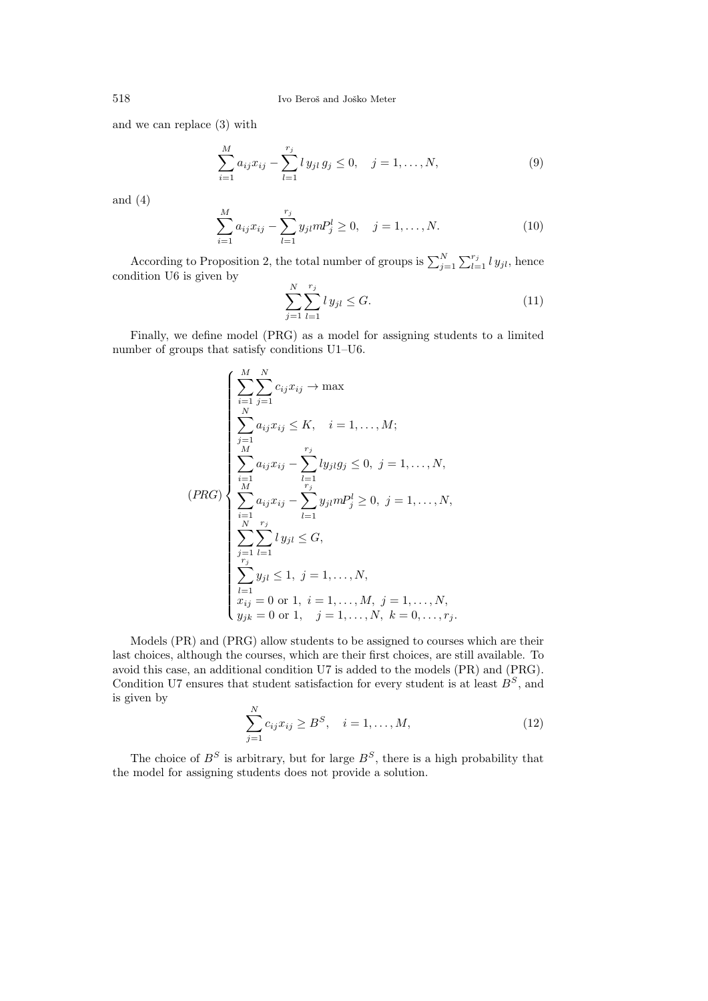and we can replace (3) with

$$
\sum_{i=1}^{M} a_{ij} x_{ij} - \sum_{l=1}^{r_j} l y_{jl} g_j \le 0, \quad j = 1, ..., N,
$$
\n(9)

and  $(4)$ 

$$
\sum_{i=1}^{M} a_{ij} x_{ij} - \sum_{l=1}^{r_j} y_{jl} m P_j^l \ge 0, \quad j = 1, ..., N.
$$
 (10)

According to Proposition 2, the total number of groups is  $\sum_{j=1}^{N} \sum_{l=1}^{r_j} l y_{jl}$ , hence condition U6 is given by

$$
\sum_{j=1}^{N} \sum_{l=1}^{r_j} l y_{jl} \le G.
$$
 (11)

Finally, we define model (PRG) as a model for assigning students to a limited number of groups that satisfy conditions U1–U6.

$$
(PRG)\n\begin{cases}\n\sum_{i=1}^{M} \sum_{j=1}^{N} c_{ij}x_{ij} \to \max \\
\sum_{j=1}^{N} a_{ij}x_{ij} \leq K, \quad i = 1, ..., M; \\
\sum_{i=1}^{M} a_{ij}x_{ij} - \sum_{l=1}^{r_j} ly_{jl}g_j \leq 0, \ j = 1, ..., N, \\
\sum_{i=1}^{M} a_{ij}x_{ij} - \sum_{l=1}^{r_j} y_{jl}mP_j^l \geq 0, \ j = 1, ..., N, \\
\sum_{j=1}^{N} \sum_{l=1}^{r_j} l y_{jl} \leq G, \\
\sum_{r_j}^{r_j} y_{jl} \leq 1, \ j = 1, ..., N, \\
x_{ij} = 0 \text{ or } 1, \ i = 1, ..., M, \ j = 1, ..., N, \\
y_{jk} = 0 \text{ or } 1, \ j = 1, ..., N, \ k = 0, ..., r_j.\n\end{cases}
$$

Models (PR) and (PRG) allow students to be assigned to courses which are their last choices, although the courses, which are their first choices, are still available. To avoid this case, an additional condition U7 is added to the models (PR) and (PRG). Condition U7 ensures that student satisfaction for every student is at least *B<sup>S</sup>*, and is given by

$$
\sum_{j=1}^{N} c_{ij} x_{ij} \ge B^{S}, \quad i = 1, ..., M,
$$
\n(12)

The choice of  $B^S$  is arbitrary, but for large  $B^S$ , there is a high probability that the model for assigning students does not provide a solution.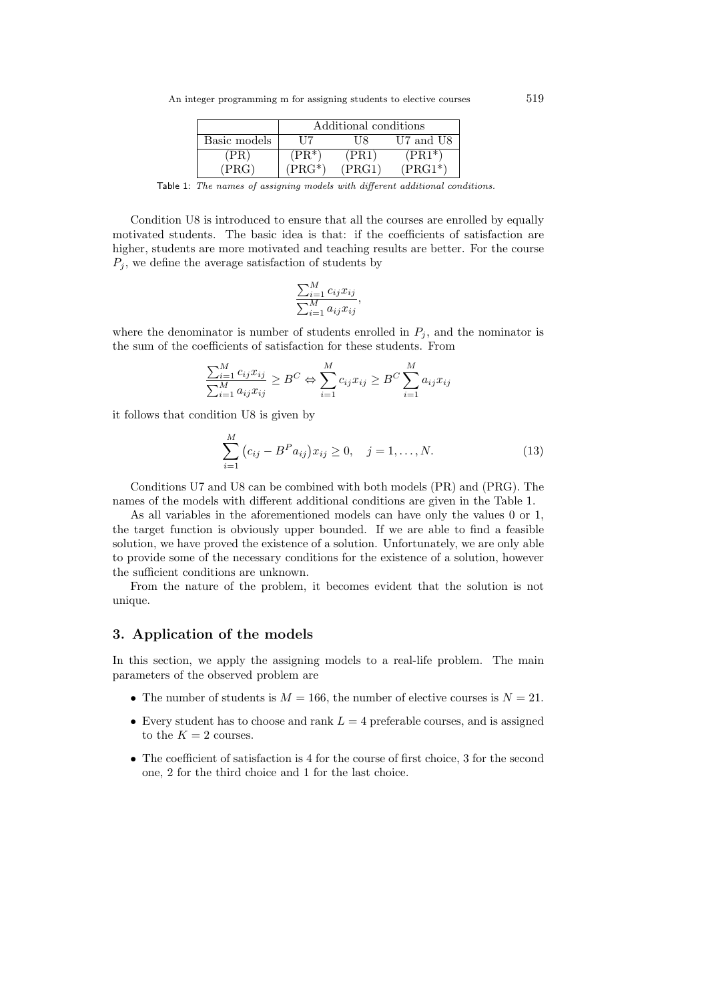|              | Additional conditions      |                    |                                   |  |  |  |  |  |  |  |
|--------------|----------------------------|--------------------|-----------------------------------|--|--|--|--|--|--|--|
| Basic models | TT7                        | $  \cdot   \times$ | U <sub>7</sub> and U <sub>8</sub> |  |  |  |  |  |  |  |
| (PR)         | $(PR^*)$                   | (PR1)              | $(PR1*)$                          |  |  |  |  |  |  |  |
| PR(G)        | $\cdot$ P $\mathrm{RG}$ *) | (PRG1)             | $(PRG1*)$                         |  |  |  |  |  |  |  |

Table 1: *The names of assigning models with different additional conditions.*

Condition U8 is introduced to ensure that all the courses are enrolled by equally motivated students. The basic idea is that: if the coefficients of satisfaction are higher, students are more motivated and teaching results are better. For the course  $P_i$ , we define the average satisfaction of students by

$$
\frac{\sum_{i=1}^{M} c_{ij} x_{ij}}{\sum_{i=1}^{M} a_{ij} x_{ij}},
$$

where the denominator is number of students enrolled in  $P_i$ , and the nominator is the sum of the coefficients of satisfaction for these students. From

$$
\frac{\sum_{i=1}^{M} c_{ij} x_{ij}}{\sum_{i=1}^{M} a_{ij} x_{ij}} \ge B^C \Leftrightarrow \sum_{i=1}^{M} c_{ij} x_{ij} \ge B^C \sum_{i=1}^{M} a_{ij} x_{ij}
$$

it follows that condition U8 is given by

$$
\sum_{i=1}^{M} (c_{ij} - B^{P} a_{ij}) x_{ij} \ge 0, \quad j = 1, ..., N.
$$
 (13)

Conditions U7 and U8 can be combined with both models (PR) and (PRG). The names of the models with different additional conditions are given in the Table 1.

As all variables in the aforementioned models can have only the values 0 or 1, the target function is obviously upper bounded. If we are able to find a feasible solution, we have proved the existence of a solution. Unfortunately, we are only able to provide some of the necessary conditions for the existence of a solution, however the sufficient conditions are unknown.

From the nature of the problem, it becomes evident that the solution is not unique.

## **3. Application of the models**

In this section, we apply the assigning models to a real-life problem. The main parameters of the observed problem are

- The number of students is  $M = 166$ , the number of elective courses is  $N = 21$ .
- Every student has to choose and rank  $L = 4$  preferable courses, and is assigned to the  $K = 2$  courses.
- *•* The coefficient of satisfaction is 4 for the course of first choice, 3 for the second one, 2 for the third choice and 1 for the last choice.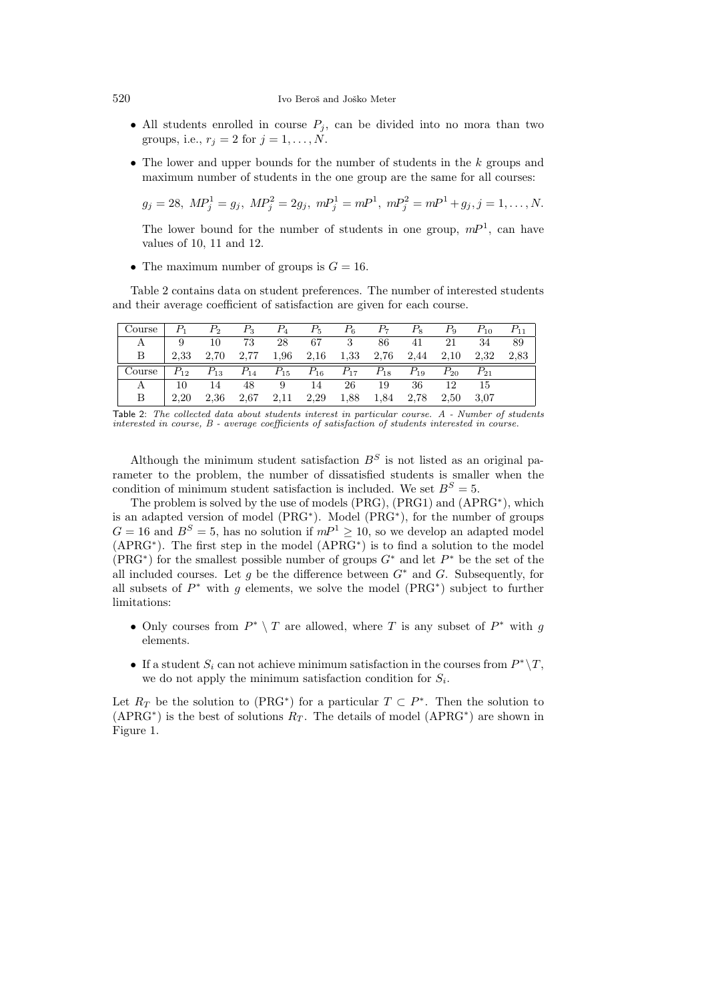### 520 Ivo Beroš and Joško Meter

- All students enrolled in course  $P_j$ , can be divided into no mora than two groups, i.e.,  $r_j = 2$  for  $j = 1, ..., N$ .
- *•* The lower and upper bounds for the number of students in the *k* groups and maximum number of students in the one group are the same for all courses:

$$
g_j = 28
$$
,  $MP_j^1 = g_j$ ,  $MP_j^2 = 2g_j$ ,  $mP_j^1 = mP^1$ ,  $mP_j^2 = mP^1 + g_j$ ,  $j = 1, ..., N$ .

The lower bound for the number of students in one group,  $mP<sup>1</sup>$ , can have values of 10, 11 and 12.

• The maximum number of groups is  $G = 16$ .

Table 2 contains data on student preferences. The number of interested students and their average coefficient of satisfaction are given for each course.

| Course | $P_1$    | $P_{2}$  | $P_3$ | $P_4$                               | $P_5$ | $P_6$ | $P_7$    | $P_8$    | $P_9$    | $P_{10}$ | $P_{11}$ |
|--------|----------|----------|-------|-------------------------------------|-------|-------|----------|----------|----------|----------|----------|
| A      | 9        | 10       | 73    | 28                                  | 67    | 3     | 86       | 41       | 21       | 34       | 89       |
| B      | 2,33     | 2.70     | 2,77  | 1,96                                | 2,16  | 1,33  | 2,76     | 2,44     | 2,10     | 2,32     | 2,83     |
| Course | $P_{12}$ | $P_{13}$ |       | $P_{14}$ $P_{15}$ $P_{16}$ $P_{17}$ |       |       | $P_{18}$ | $P_{19}$ | $P_{20}$ | $P_{21}$ |          |
| A      | 10       | 14       | 48    | 9                                   | 14    | 26    | 19       | 36       | 12       | 15       |          |
| B      | 2,20     | 2,36     | 2,67  | 2,11                                | 2,29  | 1,88  | 1,84     | 2.78     | 2.50     | 3.07     |          |

Table 2: *The collected data about students interest in particular course. A - Number of students interested in course, B - average coefficients of satisfaction of students interested in course.*

Although the minimum student satisfaction  $B<sup>S</sup>$  is not listed as an original parameter to the problem, the number of dissatisfied students is smaller when the condition of minimum student satisfaction is included. We set  $B^S = 5$ .

The problem is solved by the use of models (PRG), (PRG1) and (APRG*<sup>∗</sup>* ), which is an adapted version of model (PRG*<sup>∗</sup>* ). Model (PRG*<sup>∗</sup>* ), for the number of groups  $G = 16$  and  $B^S = 5$ , has no solution if  $mP^1 \ge 10$ , so we develop an adapted model (APRG*<sup>∗</sup>* ). The first step in the model (APRG*<sup>∗</sup>* ) is to find a solution to the model (PRG*<sup>∗</sup>* ) for the smallest possible number of groups *G<sup>∗</sup>* and let *P <sup>∗</sup>* be the set of the all included courses. Let  $q$  be the difference between  $G^*$  and  $G$ . Subsequently, for all subsets of *P <sup>∗</sup>* with *g* elements, we solve the model (PRG*<sup>∗</sup>* ) subject to further limitations:

- *•* Only courses from *P <sup>∗</sup> \ T* are allowed, where *T* is any subset of *P <sup>∗</sup>* with *g* elements.
- *•* If a student *S<sup>i</sup>* can not achieve minimum satisfaction in the courses from *P <sup>∗</sup>\T*, we do not apply the minimum satisfaction condition for  $S_i$ .

Let  $R_T$  be the solution to (PRG<sup>\*</sup>) for a particular  $T \subset P^*$ . Then the solution to (APRG*<sup>∗</sup>* ) is the best of solutions *R<sup>T</sup>* . The details of model (APRG*<sup>∗</sup>* ) are shown in Figure 1.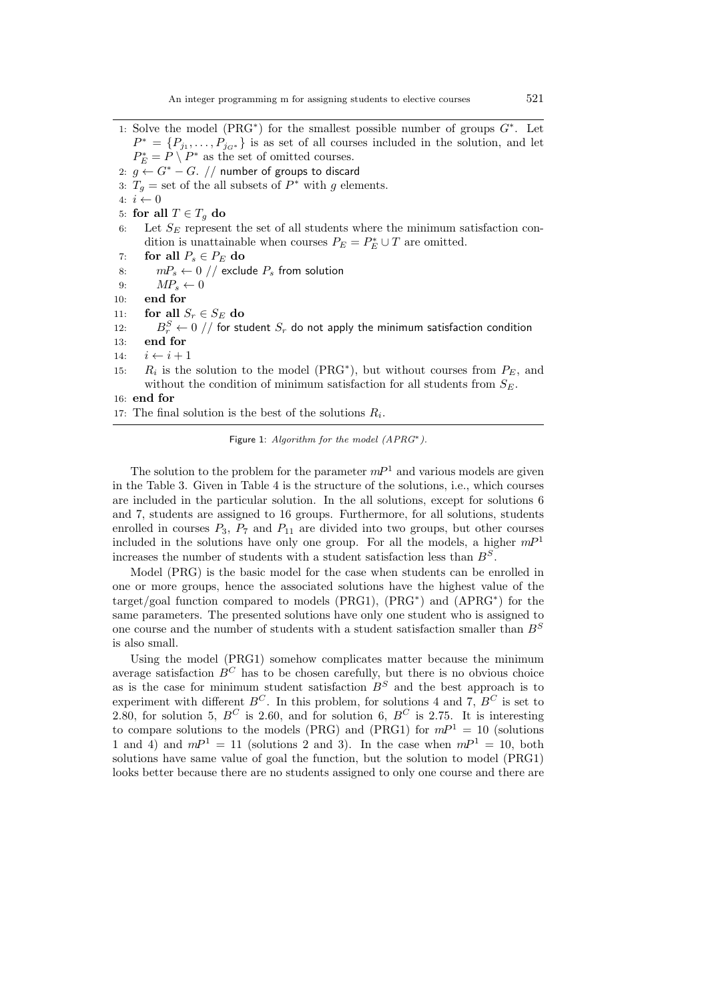- 1: Solve the model (PRG*<sup>∗</sup>* ) for the smallest possible number of groups *G<sup>∗</sup>* . Let  $P^* = \{P_{j_1}, \ldots, P_{j_{G^*}}\}$  is as set of all courses included in the solution, and let  $P_E^* = P \setminus P^*$  as the set of omitted courses.
- 2:  $g \leftarrow G^* G$ . // number of groups to discard
- 3:  $T_g$  = set of the all subsets of  $P^*$  with g elements.
- 4:  $i \leftarrow 0$
- 5: **for all**  $T \in T_q$  **do**
- 6: Let  $S_E$  represent the set of all students where the minimum satisfaction condition is unattainable when courses  $P_E = P_E^* \cup T$  are omitted.
- 7: **for all**  $P_s \in P_E$  **do**
- 8:  $mP_s \leftarrow 0 \ //$  exclude  $P_s$  from solution
- 9:  $MP_s \leftarrow 0$
- 10: **end for**
- 11: **for all**  $S_r \in S_F$  **do**
- 12:  $B_r^S \leftarrow 0 \; //$  for student  $S_r$  do not apply the minimum satisfaction condition
- 13: **end for**
- 14:  $i \leftarrow i + 1$
- 15:  $R_i$  is the solution to the model (PRG<sup>\*</sup>), but without courses from  $P_E$ , and without the condition of minimum satisfaction for all students from  $S_E$ .
- 16: **end for**
- 17: The final solution is the best of the solutions  $R_i$ .

#### Figure 1: *Algorithm for the model (APRG∗).*

The solution to the problem for the parameter  $m<sup>p1</sup>$  and various models are given in the Table 3. Given in Table 4 is the structure of the solutions, i.e., which courses are included in the particular solution. In the all solutions, except for solutions 6 and 7, students are assigned to 16 groups. Furthermore, for all solutions, students enrolled in courses  $P_3$ ,  $P_7$  and  $P_{11}$  are divided into two groups, but other courses included in the solutions have only one group. For all the models, a higher *mP*<sup>1</sup> increases the number of students with a student satisfaction less than *B<sup>S</sup>*.

Model (PRG) is the basic model for the case when students can be enrolled in one or more groups, hence the associated solutions have the highest value of the target/goal function compared to models (PRG1), (PRG*<sup>∗</sup>* ) and (APRG*<sup>∗</sup>* ) for the same parameters. The presented solutions have only one student who is assigned to one course and the number of students with a student satisfaction smaller than *B<sup>S</sup>* is also small.

Using the model (PRG1) somehow complicates matter because the minimum average satisfaction  $B^C$  has to be chosen carefully, but there is no obvious choice as is the case for minimum student satisfaction  $B^S$  and the best approach is to experiment with different  $B^C$ . In this problem, for solutions 4 and 7,  $B^C$  is set to 2.80, for solution 5,  $B^C$  is 2.60, and for solution 6,  $B^C$  is 2.75. It is interesting to compare solutions to the models (PRG) and (PRG1) for  $mP^1 = 10$  (solutions 1 and 4) and  $mP^1 = 11$  (solutions 2 and 3). In the case when  $mP^1 = 10$ , both solutions have same value of goal the function, but the solution to model (PRG1) looks better because there are no students assigned to only one course and there are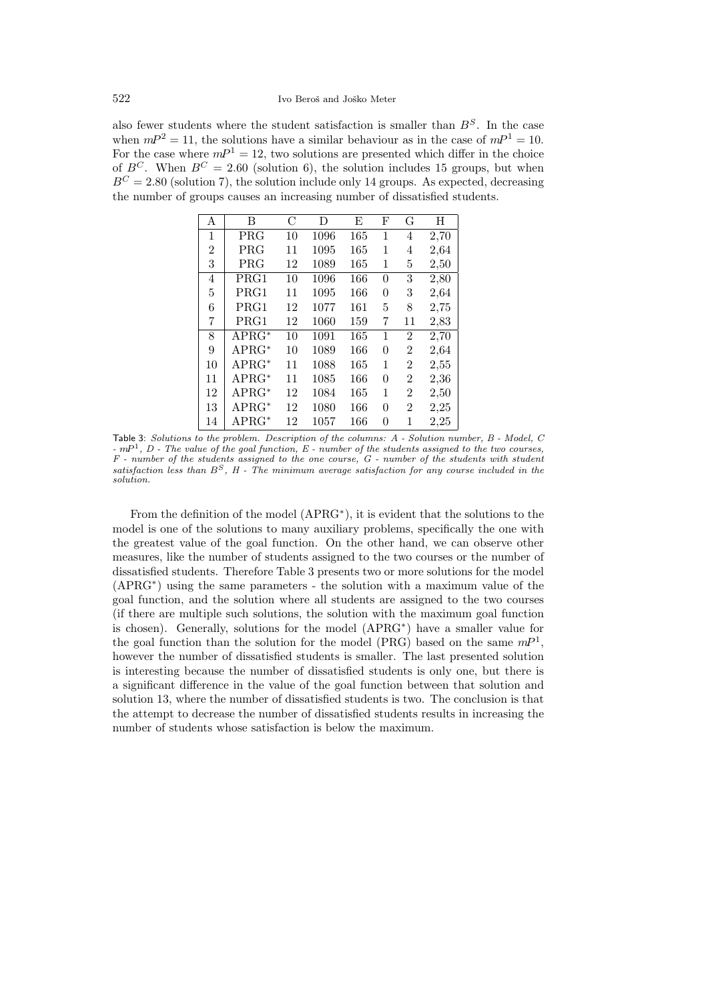also fewer students where the student satisfaction is smaller than *B<sup>S</sup>*. In the case when  $mP^2 = 11$ , the solutions have a similar behaviour as in the case of  $mP^1 = 10$ . For the case where  $mP^1 = 12$ , two solutions are presented which differ in the choice of  $B^C$ . When  $B^C = 2.60$  (solution 6), the solution includes 15 groups, but when  $B<sup>C</sup> = 2.80$  (solution 7), the solution include only 14 groups. As expected, decreasing the number of groups causes an increasing number of dissatisfied students.

| A              | B             | C  | D    | E   | F        | G              | H    |
|----------------|---------------|----|------|-----|----------|----------------|------|
| 1              | PRG           | 10 | 1096 | 165 | 1        | 4              | 2,70 |
| $\overline{2}$ | PRG           | 11 | 1095 | 165 | 1        | 4              | 2,64 |
| 3              | $\rm PRG$     | 12 | 1089 | 165 | 1        | 5              | 2,50 |
| 4              | PRG1          | 10 | 1096 | 166 | $\Omega$ | 3              | 2,80 |
| 5              | PRG1          | 11 | 1095 | 166 | $\theta$ | 3              | 2,64 |
| 6              | PRG1          | 12 | 1077 | 161 | 5        | 8              | 2,75 |
| 7              | PRG1          | 12 | 1060 | 159 | 7        | 11             | 2,83 |
| 8              | $APRG^*$      | 10 | 1091 | 165 | 1        | $\overline{2}$ | 2,70 |
| 9              | $APRG^*$      | 10 | 1089 | 166 | $\theta$ | 2              | 2,64 |
| 10             | $APRG^*$      | 11 | 1088 | 165 | 1        | 2              | 2,55 |
| 11             | $\rm{APRG}^*$ | 11 | 1085 | 166 | $\theta$ | 2              | 2,36 |
| 12             | $APRG^*$      | 12 | 1084 | 165 | 1        | $\overline{2}$ | 2,50 |
| 13             | $APRG*$       | 12 | 1080 | 166 | $\theta$ | 2              | 2,25 |
| 14             | $APRG*$       | 12 | 1057 | 166 | $\theta$ | 1              | 2,25 |

Table 3: *Solutions to the problem. Description of the columns: A - Solution number, B - Model, C - mP*<sup>1</sup> *, D - The value of the goal function, E - number of the students assigned to the two courses, F - number of the students assigned to the one course, G - number of the students with student satisfaction less than BS, H - The minimum average satisfaction for any course included in the solution.*

From the definition of the model (APRG*<sup>∗</sup>* ), it is evident that the solutions to the model is one of the solutions to many auxiliary problems, specifically the one with the greatest value of the goal function. On the other hand, we can observe other measures, like the number of students assigned to the two courses or the number of dissatisfied students. Therefore Table 3 presents two or more solutions for the model (APRG*<sup>∗</sup>* ) using the same parameters - the solution with a maximum value of the goal function, and the solution where all students are assigned to the two courses (if there are multiple such solutions, the solution with the maximum goal function is chosen). Generally, solutions for the model (APRG*<sup>∗</sup>* ) have a smaller value for the goal function than the solution for the model (PRG) based on the same *mP*<sup>1</sup> , however the number of dissatisfied students is smaller. The last presented solution is interesting because the number of dissatisfied students is only one, but there is a significant difference in the value of the goal function between that solution and solution 13, where the number of dissatisfied students is two. The conclusion is that the attempt to decrease the number of dissatisfied students results in increasing the number of students whose satisfaction is below the maximum.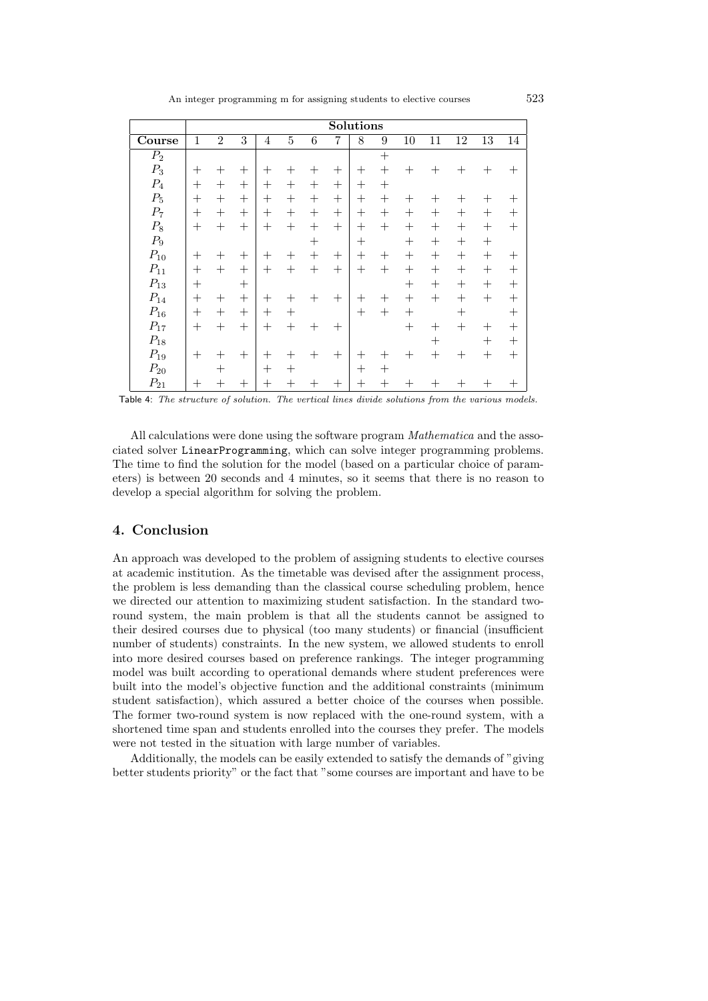|                 | Solutions    |                |           |                    |         |                                  |        |                |                |           |        |           |                  |           |
|-----------------|--------------|----------------|-----------|--------------------|---------|----------------------------------|--------|----------------|----------------|-----------|--------|-----------|------------------|-----------|
| Course          | $\mathbf{1}$ | $\overline{2}$ | 3         | $\overline{4}$     | $\bf 5$ | 6                                | 7      | 8              | 9              | 10        | 11     | 12        | 13               | 14        |
| $P_2$           |              |                |           |                    |         |                                  |        |                | $^{+}$         |           |        |           |                  |           |
| $P_3$           | $^{+}$       | $^{+}$         | $^{+}$    | $^{+}$             | $^{+}$  | $^{+}$                           | $^{+}$ | $^{+}$         | $^{+}$         | $^{+}$    | $^{+}$ | $^{+}$    | $^{+}$           | $^{+}$    |
| $\mathcal{P}_4$ | $^{+}$       | $\overline{+}$ |           | $+$                | $^{+}$  | $^{+}$                           | $^{+}$ | $^{+}$         | $\overline{+}$ |           |        |           |                  |           |
| $P_5$           | $^{+}$       | $+$            | $^{+}$    | $+$                | $^{+}$  | $^{+}$                           | $^{+}$ | $^{+}$         | $^{+}$         | $^{+}$    | $^{+}$ | $^{+}$    | $^{+}$           | $^{+}$    |
| $P_7$           | $^{+}$       | $+$            | $^{+}$    | $+$                | $^{+}$  | $^{+}$                           | $^{+}$ |                | $^{+}$         | $^{+}$    | $^{+}$ | $+$       | $^{+}$           | $^{+}$    |
| $\mathcal{P}_8$ | $^{+}$       | $\overline{+}$ |           | $+$                | $^{+}$  | $^{+}$                           | $^{+}$ | $^{+}$         | $^{+}$         |           | $^{+}$ | $^{+}$    | $\! + \!$        | $^{+}$    |
| $\mathcal{P}_9$ |              |                |           |                    |         | $^{+}$                           |        | $^{+}$         |                | $\! + \!$ | $^{+}$ | $\! + \!$ | $\! + \!$        |           |
| $P_{10}$        | $^{+}$       | $^{+}$         | $^{+}$    | $+$                | $^{+}$  | $\overline{+}$                   | $^{+}$ | $^{+}$         | $^{+}$         | $^{+}$    | $^{+}$ | $\! + \!$ | $\! + \!$        | $^{+}$    |
| $P_{11}$        | $^{+}$       | $\overline{+}$ | $^{+}$    | $+$                | $^{+}$  | $\overline{+}$                   | $+$    | $^{+}$         | $\overline{+}$ | $^{+}$    | $^{+}$ | $\! + \!$ | $\! + \!$        | $^{+}$    |
| $P_{13}$        | $^{+}$       |                | $^{+}$    |                    |         |                                  |        |                |                | $\! + \!$ | $^{+}$ | $^{+}$    | $\boldsymbol{+}$ |           |
| $P_{14}$        | $^{+}$       | $^{+}$         | $\ddot{}$ | $^{+}$             | $^{+}$  | $^{+}$                           | $^{+}$ | $^{+}$         | $^{+}$         | $\! + \!$ | $^{+}$ | $^{+}$    | $\! + \!$        | $^{+}$    |
| $P_{16}$        | $^{+}$       | $^{+}$         | $+$       | $^{+}$             | $^{+}$  |                                  |        | $\overline{+}$ | $^{+}$         | $^{+}$    |        | $^{+}$    |                  | $^{+}$    |
| $P_{17}$        | $^{+}$       | $\overline{+}$ | $\! + \!$ | $^{+}$             | $^{+}$  | $^{+}$                           | $^{+}$ |                |                | $^{+}$    | $^{+}$ | $^{+}$    | $\boldsymbol{+}$ | $\! + \!$ |
| $P_{18}$        |              |                |           |                    |         |                                  |        |                |                |           | $^{+}$ |           | $\! + \!$        |           |
| $P_{19}$        | $^{+}$       | $^{+}$         | $^{+}$    | $\hspace{0.1mm} +$ | $^{+}$  | $^{+}$                           | $^{+}$ | $^{+}$         | $^{+}$         | $^{+}$    | $^{+}$ | $^{+}$    | $^{+}$           | $\! + \!$ |
| $P_{20}$        |              | $+$            |           | $+$                | $^{+}$  |                                  |        | $^{+}$         | $^{+}$         |           |        |           |                  |           |
| $P_{21}$        | $^+$         | $^{+}$         | $^{+}$    | $^{+}$             | $^{+}$  | $\hspace{0.1mm} +\hspace{0.1mm}$ | $^{+}$ | $^{+}$         | $^{+}$         | $^{+}$    |        |           |                  | $^{+}$    |

Table 4: *The structure of solution. The vertical lines divide solutions from the various models.*

All calculations were done using the software program *Mathematica* and the associated solver LinearProgramming, which can solve integer programming problems. The time to find the solution for the model (based on a particular choice of parameters) is between 20 seconds and 4 minutes, so it seems that there is no reason to develop a special algorithm for solving the problem.

### **4. Conclusion**

An approach was developed to the problem of assigning students to elective courses at academic institution. As the timetable was devised after the assignment process, the problem is less demanding than the classical course scheduling problem, hence we directed our attention to maximizing student satisfaction. In the standard tworound system, the main problem is that all the students cannot be assigned to their desired courses due to physical (too many students) or financial (insufficient number of students) constraints. In the new system, we allowed students to enroll into more desired courses based on preference rankings. The integer programming model was built according to operational demands where student preferences were built into the model's objective function and the additional constraints (minimum student satisfaction), which assured a better choice of the courses when possible. The former two-round system is now replaced with the one-round system, with a shortened time span and students enrolled into the courses they prefer. The models were not tested in the situation with large number of variables.

Additionally, the models can be easily extended to satisfy the demands of "giving better students priority" or the fact that "some courses are important and have to be